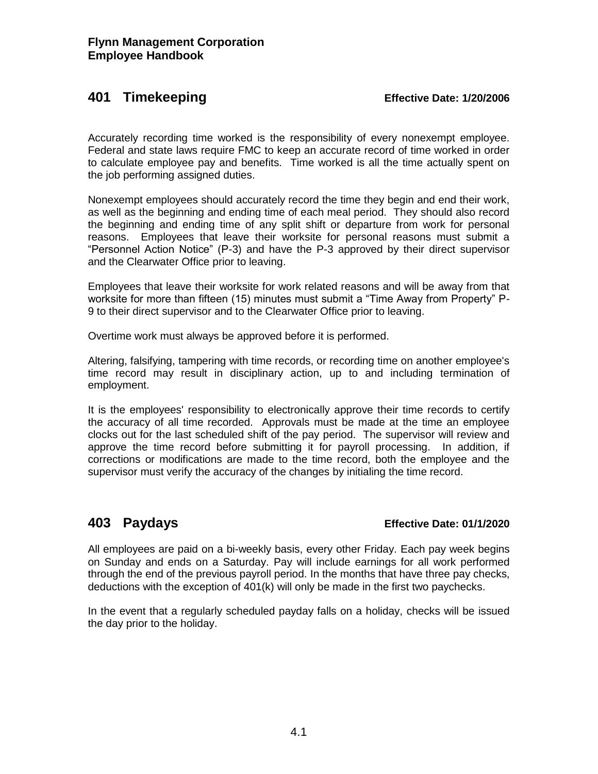## **401 Timekeeping Effective Date: 1/20/2006**

Accurately recording time worked is the responsibility of every nonexempt employee. Federal and state laws require FMC to keep an accurate record of time worked in order to calculate employee pay and benefits. Time worked is all the time actually spent on the job performing assigned duties.

Nonexempt employees should accurately record the time they begin and end their work, as well as the beginning and ending time of each meal period. They should also record the beginning and ending time of any split shift or departure from work for personal reasons. Employees that leave their worksite for personal reasons must submit a "Personnel Action Notice" (P-3) and have the P-3 approved by their direct supervisor and the Clearwater Office prior to leaving.

Employees that leave their worksite for work related reasons and will be away from that worksite for more than fifteen (15) minutes must submit a "Time Away from Property" P-9 to their direct supervisor and to the Clearwater Office prior to leaving.

Overtime work must always be approved before it is performed.

Altering, falsifying, tampering with time records, or recording time on another employee's time record may result in disciplinary action, up to and including termination of employment.

It is the employees' responsibility to electronically approve their time records to certify the accuracy of all time recorded. Approvals must be made at the time an employee clocks out for the last scheduled shift of the pay period. The supervisor will review and approve the time record before submitting it for payroll processing. In addition, if corrections or modifications are made to the time record, both the employee and the supervisor must verify the accuracy of the changes by initialing the time record.

### **403 Paydays Effective Date: 01/1/2020**

All employees are paid on a bi-weekly basis, every other Friday. Each pay week begins on Sunday and ends on a Saturday. Pay will include earnings for all work performed through the end of the previous payroll period. In the months that have three pay checks, deductions with the exception of 401(k) will only be made in the first two paychecks.

In the event that a regularly scheduled payday falls on a holiday, checks will be issued the day prior to the holiday.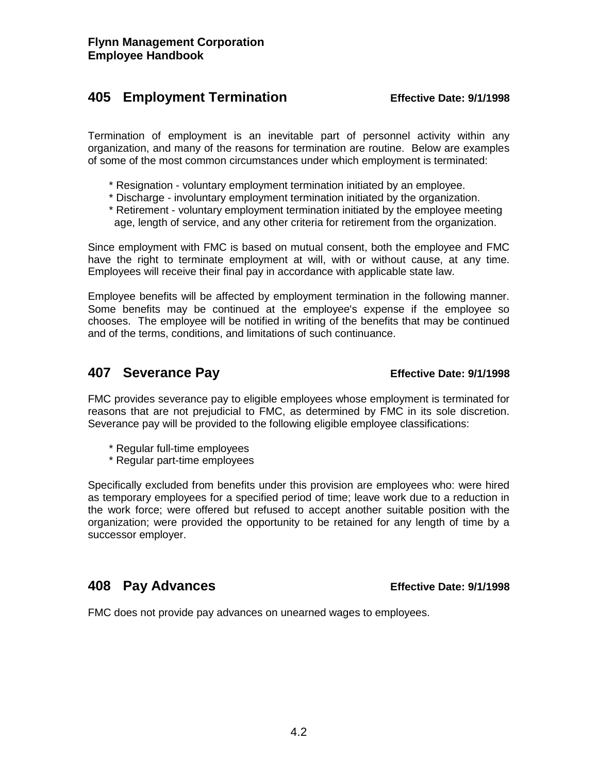## **405 Employment Termination Effective Date: 9/1/1998**

Termination of employment is an inevitable part of personnel activity within any organization, and many of the reasons for termination are routine. Below are examples of some of the most common circumstances under which employment is terminated:

- \* Resignation voluntary employment termination initiated by an employee.
- \* Discharge involuntary employment termination initiated by the organization.
- \* Retirement voluntary employment termination initiated by the employee meeting age, length of service, and any other criteria for retirement from the organization.

Since employment with FMC is based on mutual consent, both the employee and FMC have the right to terminate employment at will, with or without cause, at any time. Employees will receive their final pay in accordance with applicable state law.

Employee benefits will be affected by employment termination in the following manner. Some benefits may be continued at the employee's expense if the employee so chooses. The employee will be notified in writing of the benefits that may be continued and of the terms, conditions, and limitations of such continuance.

# **407 Severance Pay Effective Date: 9/1/1998**

FMC provides severance pay to eligible employees whose employment is terminated for reasons that are not prejudicial to FMC, as determined by FMC in its sole discretion. Severance pay will be provided to the following eligible employee classifications:

- \* Regular full-time employees
- \* Regular part-time employees

Specifically excluded from benefits under this provision are employees who: were hired as temporary employees for a specified period of time; leave work due to a reduction in the work force; were offered but refused to accept another suitable position with the organization; were provided the opportunity to be retained for any length of time by a successor employer.

## **408 Pay Advances Effective Date: 9/1/1998**

FMC does not provide pay advances on unearned wages to employees.